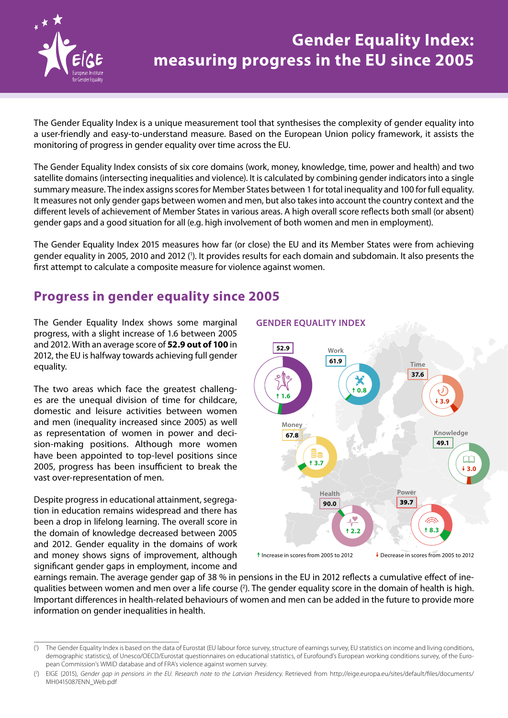

# **Gender Equality Index: measuring progress in the EU since 2005**

The Gender Equality Index is a unique measurement tool that synthesises the complexity of gender equality into a user‑friendly and easy‑to‑understand measure. Based on the European Union policy framework, it assists the monitoring of progress in gender equality over time across the EU.

The Gender Equality Index consists of six core domains (work, money, knowledge, time, power and health) and two satellite domains (intersecting inequalities and violence). It is calculated by combining gender indicators into a single summary measure. The index assigns scores for Member States between 1 for total inequality and 100 for full equality. It measures not only gender gaps between women and men, but also takes into account the country context and the different levels of achievement of Member States in various areas. A high overall score reflects both small (or absent) gender gaps and a good situation for all (e.g. high involvement of both women and men in employment).

The Gender Equality Index 2015 measures how far (or close) the EU and its Member States were from achieving gender equality in 2005, 2010 and 2012 (<sup>1</sup>). It provides results for each domain and subdomain. It also presents the first attempt to calculate a composite measure for violence against women.

# **Progress in gender equality since 2005**

The Gender Equality Index shows some marginal progress, with a slight increase of 1.6 between 2005 and 2012. With an average score of **52.9 out of 100** in 2012, the EU is halfway towards achieving full gender equality.

The two areas which face the greatest challenges are the unequal division of time for childcare, domestic and leisure activities between women and men (inequality increased since 2005) as well as representation of women in power and decision-making positions. Although more women have been appointed to top-level positions since 2005, progress has been insufficient to break the vast over‑representation of men.

Despite progress in educational attainment, segregation in education remains widespread and there has been a drop in lifelong learning. The overall score in the domain of knowledge decreased between 2005 and 2012. Gender equality in the domains of work and money shows signs of improvement, although significant gender gaps in employment, income and

#### **GENDER EQUALITY INDEX**



earnings remain. The average gender gap of 38 % in pensions in the EU in 2012 reflects a cumulative effect of inequalities between women and men over a life course (<sup>2</sup>). The gender equality score in the domain of health is high. Important differences in health‑related behaviours of women and men can be added in the future to provide more information on gender inequalities in health.

<sup>(</sup> 1 ) The Gender Equality Index is based on the data of Eurostat (EU labour force survey, structure of earnings survey, EU statistics on income and living conditions, demographic statistics), of Unesco/OECD/Eurostat questionnaires on educational statistics, of Eurofound's European working conditions survey, of the European Commission's WMID database and of FRA's violence against women survey.

 $($ <sup>2</sup> ) EIGE (2015), *Gender gap in pensions in the EU. Research note to the Latvian Presidency.* Retrieved from [http://eige.europa.eu/sites/default/files/documents/](http://eige.europa.eu/sites/default/files/documents/MH0415087ENN_Web.pdf) [MH0415087ENN\\_Web.pdf](http://eige.europa.eu/sites/default/files/documents/MH0415087ENN_Web.pdf)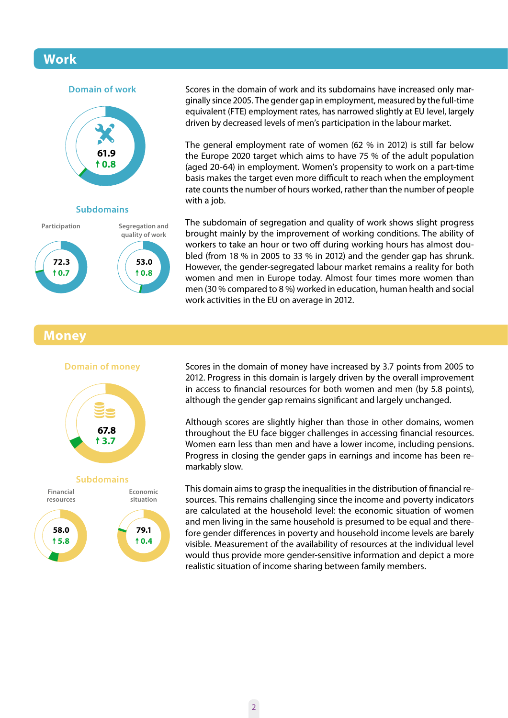## **Work**





Scores in the domain of work and its subdomains have increased only marginally since 2005. The gender gap in employment, measured by the full‑time equivalent (FTE) employment rates, has narrowed slightly at EU level, largely driven by decreased levels of men's participation in the labour market.

The general employment rate of women (62 % in 2012) is still far below the Europe 2020 target which aims to have 75 % of the adult population (aged 20-64) in employment. Women's propensity to work on a part‑time basis makes the target even more difficult to reach when the employment rate counts the number of hours worked, rather than the number of people with a job.

The subdomain of segregation and quality of work shows slight progress brought mainly by the improvement of working conditions. The ability of workers to take an hour or two off during working hours has almost doubled (from 18 % in 2005 to 33 % in 2012) and the gender gap has shrunk. However, the gender‑segregated labour market remains a reality for both women and men in Europe today. Almost four times more women than men (30 % compared to 8 %) worked in education, human health and social work activities in the EU on average in 2012.

### **Money**







Scores in the domain of money have increased by 3.7 points from 2005 to 2012. Progress in this domain is largely driven by the overall improvement in access to financial resources for both women and men (by 5.8 points), although the gender gap remains significant and largely unchanged.

Although scores are slightly higher than those in other domains, women throughout the EU face bigger challenges in accessing financial resources. Women earn less than men and have a lower income, including pensions. Progress in closing the gender gaps in earnings and income has been re‑ markably slow.

This domain aims to grasp the inequalities in the distribution of financial re‑ sources. This remains challenging since the income and poverty indicators are calculated at the household level: the economic situation of women and men living in the same household is presumed to be equal and therefore gender differences in poverty and household income levels are barely visible. Measurement of the availability of resources at the individual level would thus provide more gender-sensitive information and depict a more realistic situation of income sharing between family members.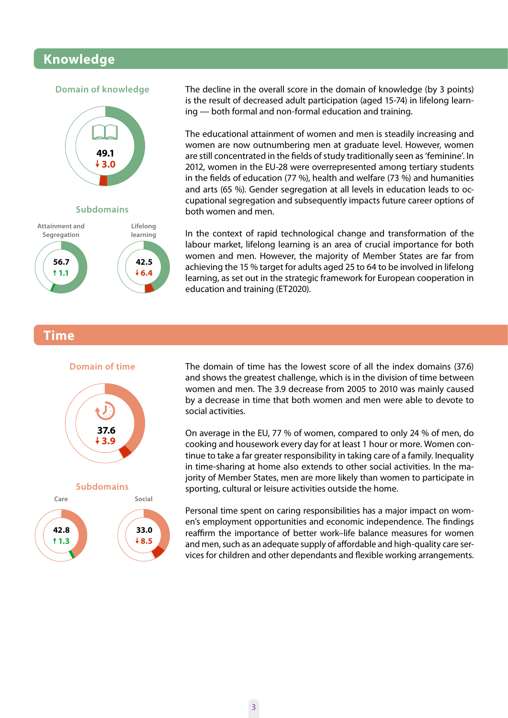### **Knowledge**

#### **Domain of knowledge**



**Subdomains**



The decline in the overall score in the domain of knowledge (by 3 points) is the result of decreased adult participation (aged 15-74) in lifelong learning — both formal and non‑formal education and training.

The educational attainment of women and men is steadily increasing and women are now outnumbering men at graduate level. However, women are still concentrated in the fields of study traditionally seen as 'feminine'. In 2012, women in the EU-28 were overrepresented among tertiary students in the fields of education (77 %), health and welfare (73 %) and humanities and arts (65 %). Gender segregation at all levels in education leads to oc‑ cupational segregation and subsequently impacts future career options of both women and men.

In the context of rapid technological change and transformation of the labour market, lifelong learning is an area of crucial importance for both women and men. However, the majority of Member States are far from achieving the 15 % target for adults aged 25 to 64 to be involved in lifelong learning, as set out in the strategic framework for European cooperation in education and training (ET2020).

#### **Time**





The domain of time has the lowest score of all the index domains (37.6) and shows the greatest challenge, which is in the division of time between women and men. The 3.9 decrease from 2005 to 2010 was mainly caused by a decrease in time that both women and men were able to devote to social activities.

On average in the EU, 77 % of women, compared to only 24 % of men, do cooking and housework every day for at least 1 hour or more. Women continue to take a far greater responsibility in taking care of a family. Inequality in time-sharing at home also extends to other social activities. In the majority of Member States, men are more likely than women to participate in sporting, cultural or leisure activities outside the home.

Personal time spent on caring responsibilities has a major impact on women's employment opportunities and economic independence. The findings reaffirm the importance of better work–life balance measures for women and men, such as an adequate supply of affordable and high-quality care services for children and other dependants and flexible working arrangements.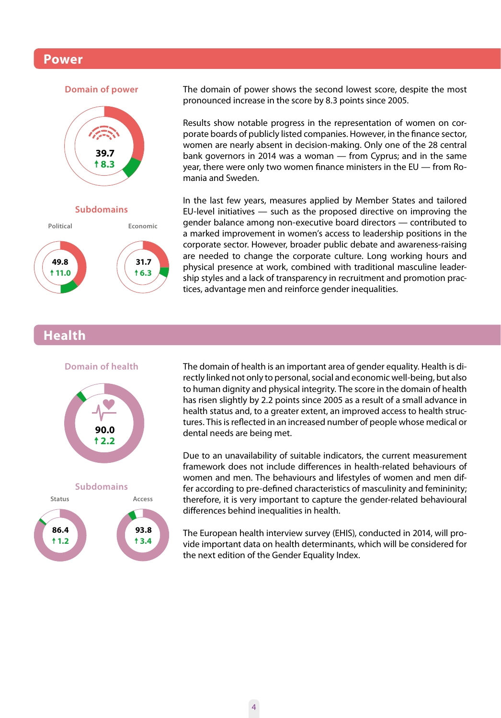#### **Power**







The domain of power shows the second lowest score, despite the most pronounced increase in the score by 8.3 points since 2005.

Results show notable progress in the representation of women on corporate boards of publicly listed companies. However, in the finance sector, women are nearly absent in decision‑making. Only one of the 28 central bank governors in 2014 was a woman — from Cyprus; and in the same year, there were only two women finance ministers in the EU — from Romania and Sweden.

In the last few years, measures applied by Member States and tailored EU-level initiatives  $-$  such as the proposed directive on improving the gender balance among non‑executive board directors — contributed to a marked improvement in women's access to leadership positions in the corporate sector. However, broader public debate and awareness-raising are needed to change the corporate culture. Long working hours and physical presence at work, combined with traditional masculine leadership styles and a lack of transparency in recruitment and promotion practices, advantage men and reinforce gender inequalities.

### **Health**







The domain of health is an important area of gender equality. Health is directly linked not only to personal, social and economic well‑being, but also to human dignity and physical integrity. The score in the domain of health has risen slightly by 2.2 points since 2005 as a result of a small advance in health status and, to a greater extent, an improved access to health structures. This is reflected in an increased number of people whose medical or dental needs are being met.

Due to an unavailability of suitable indicators, the current measurement framework does not include differences in health‑related behaviours of women and men. The behaviours and lifestyles of women and men differ according to pre-defined characteristics of masculinity and femininity; therefore, it is very important to capture the gender‑related behavioural differences behind inequalities in health.

The European health interview survey (EHIS), conducted in 2014, will pro‑ vide important data on health determinants, which will be considered for the next edition of the Gender Equality Index.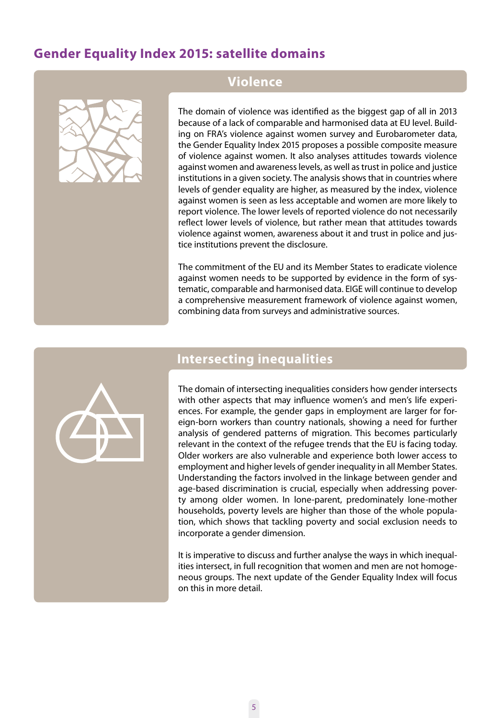# **Gender Equality Index 2015: satellite domains**



### **Violence**

The domain of violence was identified as the biggest gap of all in 2013 because of a lack of comparable and harmonised data at EU level. Building on FRA's violence against women survey and Eurobarometer data, the Gender Equality Index 2015 proposes a possible composite measure of violence against women. It also analyses attitudes towards violence against women and awareness levels, as well as trust in police and justice institutions in a given society. The analysis shows that in countries where levels of gender equality are higher, as measured by the index, violence against women is seen as less acceptable and women are more likely to report violence. The lower levels of reported violence do not necessarily reflect lower levels of violence, but rather mean that attitudes towards violence against women, awareness about it and trust in police and justice institutions prevent the disclosure.

The commitment of the EU and its Member States to eradicate violence against women needs to be supported by evidence in the form of systematic, comparable and harmonised data. EIGE will continue to develop a comprehensive measurement framework of violence against women, combining data from surveys and administrative sources.



### **Intersecting inequalities**

The domain of intersecting inequalities considers how gender intersects with other aspects that may influence women's and men's life experiences. For example, the gender gaps in employment are larger for foreign-born workers than country nationals, showing a need for further analysis of gendered patterns of migration. This becomes particularly relevant in the context of the refugee trends that the EU is facing today. Older workers are also vulnerable and experience both lower access to employment and higher levels of gender inequality in all Member States. Understanding the factors involved in the linkage between gender and age-based discrimination is crucial, especially when addressing poverty among older women. In lone-parent, predominately lone-mother households, poverty levels are higher than those of the whole population, which shows that tackling poverty and social exclusion needs to incorporate a gender dimension.

It is imperative to discuss and further analyse the ways in which inequalities intersect, in full recognition that women and men are not homogeneous groups. The next update of the Gender Equality Index will focus on this in more detail.